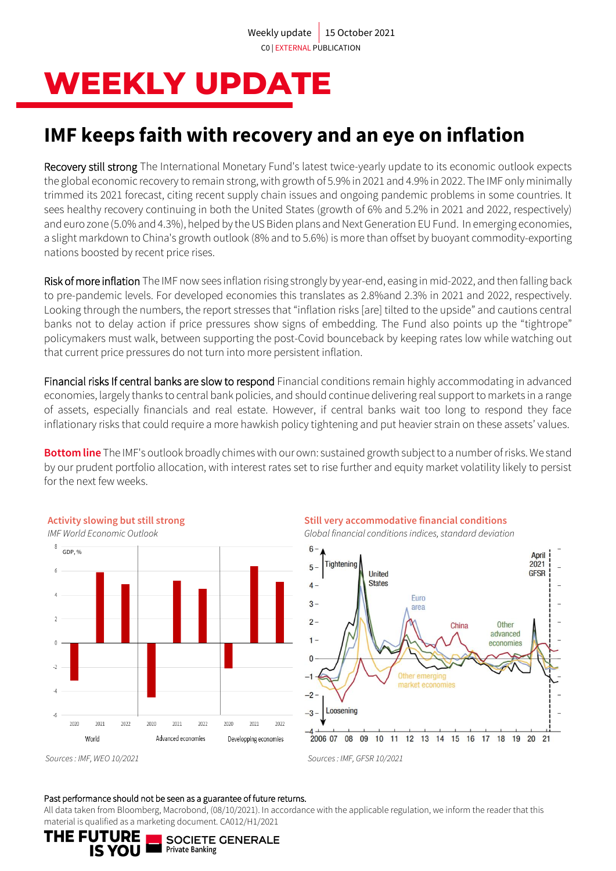# **WEEKLY UPDATE**

## **IMF keeps faith with recovery and an eye on inflation**

Recovery still strong The International Monetary Fund's latest twice-yearly update to its economic outlook expects the global economic recovery to remain strong, with growth of 5.9% in 2021 and 4.9% in 2022. The IMF only minimally trimmed its 2021 forecast, citing recent supply chain issues and ongoing pandemic problems in some countries. It sees healthy recovery continuing in both the United States (growth of 6% and 5.2% in 2021 and 2022, respectively) and euro zone (5.0% and 4.3%), helped by the US Biden plans and Next Generation EU Fund. In emerging economies, a slight markdown to China's growth outlook (8% and to 5.6%) is more than offset by buoyant commodity-exporting nations boosted by recent price rises.

Risk of more inflation The IMF now sees inflation rising strongly by year-end, easing in mid-2022, and then falling back to pre-pandemic levels. For developed economies this translates as 2.8%and 2.3% in 2021 and 2022, respectively. Looking through the numbers, the report stresses that "inflation risks [are] tilted to the upside" and cautions central banks not to delay action if price pressures show signs of embedding. The Fund also points up the "tightrope" policymakers must walk, between supporting the post-Covid bounceback by keeping rates low while watching out that current price pressures do not turn into more persistent inflation.

Financial risks If central banks are slow to respond Financial conditions remain highly accommodating in advanced economies, largely thanks to central bank policies, and should continue delivering real support to markets in a range of assets, especially financials and real estate. However, if central banks wait too long to respond they face inflationary risks that could require a more hawkish policy tightening and put heavier strain on these assets' values.

**Bottom line** The IMF's outlook broadly chimes with our own: sustained growth subject to a number of risks. We stand by our prudent portfolio allocation, with interest rates set to rise further and equity market volatility likely to persist for the next few weeks.



**Still very accommodative financial conditions**

*Global financial conditions indices, standard deviation*



*Sources : IMF, WEO 10/2021 Sources : IMF, GFSR 10/2021*

**Activity slowing but still strong** 

### Past performance should not be seen as a guarantee of future returns.

All data taken from Bloomberg, Macrobond, (08/10/2021). In accordance with the applicable regulation, we inform the reader that this material is qualified as a marketing document. CA012/H1/2021

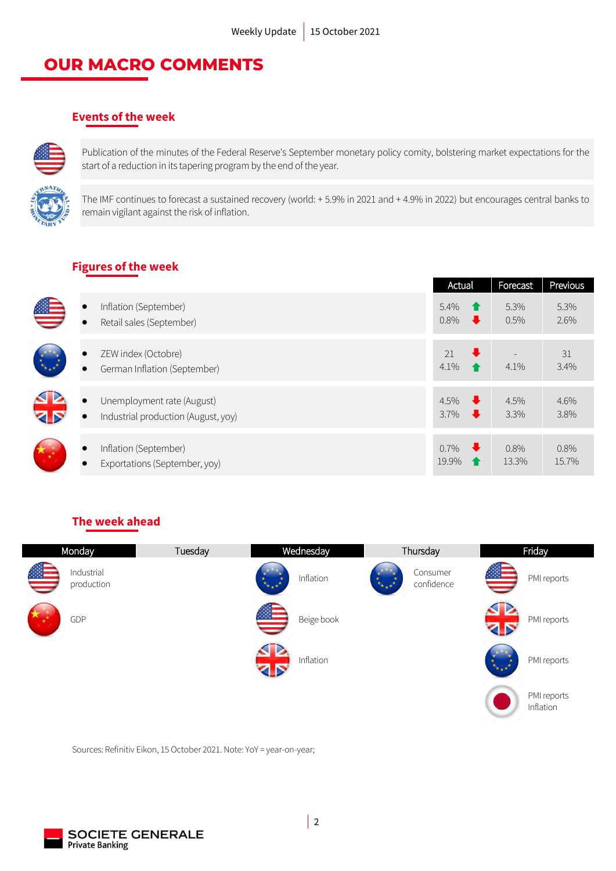### **OUR MACRO COMMENTS**

### **Events of the week**



Publication of the minutes of the Federal Reserve's September monetary policy comity, bolstering market expectations for the start of a reduction in its tapering program by the end of the year.

The IMF continues to forecast a sustained recovery (world: + 5.9% in 2021 and + 4.9% in 2022) but encourages central banks to remain vigilant against the risk of inflation.

### **Figures of the week**

|                        |                                                                   | Actual                                                              | Forecast      | Previous      |
|------------------------|-------------------------------------------------------------------|---------------------------------------------------------------------|---------------|---------------|
| $\bullet$<br>$\bullet$ | Inflation (September)<br>Retail sales (September)                 | 5.4%<br>$\bullet$<br>0.8%<br>$\ddot{\phantom{0}}$                   | 5.3%<br>0.5%  | 5.3%<br>2.6%  |
| $\bullet$              | ZEW index (Octobre)<br>German Inflation (September)               | $\ddot{\phantom{0}}$<br>21<br>4.1%                                  | 4.1%          | 31<br>3.4%    |
| <b>12</b>              | Unemployment rate (August)<br>Industrial production (August, yoy) | 4.5%<br>$\ddot{\phantom{1}}$<br>$3.7\%$<br>$\overline{\phantom{a}}$ | 4.5%<br>3.3%  | 4.6%<br>3.8%  |
|                        | Inflation (September)<br>Exportations (September, yoy)            | $0.7\%$<br>$\ddotmark$<br>19.9%                                     | 0.8%<br>13.3% | 0.8%<br>15.7% |

### **The week ahead**

| Monday                   | Tuesday | Wednesday                                     | Thursday                                                                                                                                                                                                                                                                                                                                                                                               | Friday                                |  |  |
|--------------------------|---------|-----------------------------------------------|--------------------------------------------------------------------------------------------------------------------------------------------------------------------------------------------------------------------------------------------------------------------------------------------------------------------------------------------------------------------------------------------------------|---------------------------------------|--|--|
| Industrial<br>production |         | Inflation<br>$\star_{\star\,\star}{}^{\star}$ | Consumer<br>confidence<br>$\frac{1}{\sqrt{2}}\sum_{i=1}^{n} \frac{1}{\sqrt{2}}\sum_{i=1}^{n} \frac{1}{\sqrt{2}}\sum_{i=1}^{n} \frac{1}{\sqrt{2}}\sum_{i=1}^{n} \frac{1}{\sqrt{2}}\sum_{i=1}^{n} \frac{1}{\sqrt{2}}\sum_{i=1}^{n} \frac{1}{\sqrt{2}}\sum_{i=1}^{n} \frac{1}{\sqrt{2}}\sum_{i=1}^{n} \frac{1}{\sqrt{2}}\sum_{i=1}^{n} \frac{1}{\sqrt{2}}\sum_{i=1}^{n} \frac{1}{\sqrt{2}}\sum_{i=1}^{n}$ | 纙<br>PMI reports                      |  |  |
| GDP                      |         | <u>es –</u><br>Beige book                     |                                                                                                                                                                                                                                                                                                                                                                                                        | PMI reports<br><b>Z 5</b>             |  |  |
|                          |         | Inflation<br><b>Z 5</b>                       |                                                                                                                                                                                                                                                                                                                                                                                                        | PMI reports<br>$\star_{\star\,\star}$ |  |  |
|                          |         |                                               |                                                                                                                                                                                                                                                                                                                                                                                                        | PMI reports<br>Inflation              |  |  |

Sources: Refinitiv Eikon, 15 October 2021. Note: YoY = year-on-year;

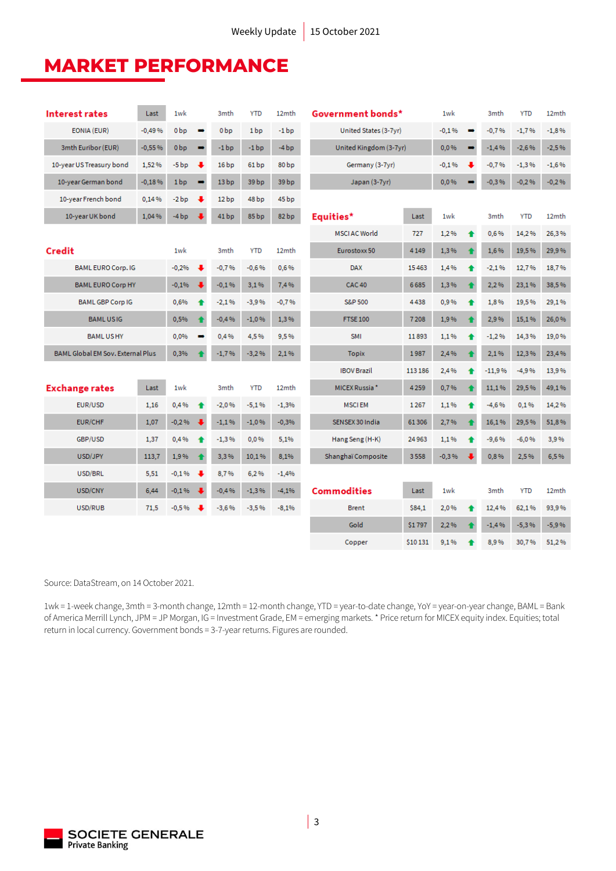### **MARKET PERFORMANCE**

| <b>Interest rates</b>             | Last     | 1wk             |                | 3 <sub>mth</sub> | <b>YTD</b>       | 12mth             | Government bonds*         |          | 1wk     |   | 3 <sub>mth</sub> | <b>YTD</b> | 12 <sub>mth</sub> |
|-----------------------------------|----------|-----------------|----------------|------------------|------------------|-------------------|---------------------------|----------|---------|---|------------------|------------|-------------------|
| EONIA (EUR)                       | $-0,49%$ | 0 <sub>bp</sub> | $\rightarrow$  | 0 <sub>bp</sub>  | 1 <sub>bp</sub>  | $-1bp$            | United States (3-7yr)     |          | $-0,1%$ |   | $-0.7%$          | $-1,7%$    | $-1,8%$           |
| 3mth Euribor (EUR)<br>$-0,55%$    |          | 0 <sub>b</sub>  | $\rightarrow$  | $-1bp$           | $-1bp$           | $-4bp$            | United Kingdom (3-7yr)    |          | 0,0%    |   | $-1,4%$          | $-2,6%$    | $-2,5%$           |
| 10-year US Treasury bond<br>1.52% |          | -5 bp           | ↓              | 16 <sub>bp</sub> | 61 <sub>bp</sub> | 80 <sub>bp</sub>  | Germany (3-7yr)           |          | $-0,1%$ |   | $-0.7%$          | $-1,3%$    | $-1,6%$           |
| 10-year German bond               | $-0,18%$ | 1 <sub>bp</sub> | $\rightarrow$  | 13 <sub>bp</sub> | 39 <sub>bp</sub> | 39 bp             | Japan (3-7yr)             |          | 0,0%    |   | $-0.3%$          | $-0.2%$    | $-0.2%$           |
| 10-year French bond               | 0,14%    | -2 bp           |                | 12 <sub>bp</sub> | 48 <sub>bp</sub> | 45 bp             |                           |          |         |   |                  |            |                   |
| 10-year UK bond                   | 1,04%    | $-4bp$          |                | 41bp             | 85 bp            | 82 <sub>bp</sub>  | Equities*                 | Last     | 1wk     |   | 3 <sub>mth</sub> | <b>YTD</b> | 12 <sub>mth</sub> |
|                                   |          |                 |                |                  |                  |                   | <b>MSCIAC World</b>       | 727      | 1.2%    |   | 0.6%             | 14.2%      | 26,3%             |
| Credit                            |          | 1wk             |                | 3 <sub>mth</sub> | <b>YTD</b>       | 12 <sub>mth</sub> | Eurostoxx 50              | 4 1 4 9  | 1,3%    |   | 1,6%             | 19,5%      | 29.9%             |
| <b>BAML EURO Corp. IG</b>         |          | $-0,2%$         | ₩              | $-0.7%$          | $-0.6%$          | 0,6%              | <b>DAX</b>                | 15463    | 1,4%    |   | $-2.1%$          | 12,7%      | 18.7%             |
| <b>BAML EURO Corp HY</b>          |          | $-0,1%$         | $\bullet$      | $-0.1%$          | 3,1%             | 7,4%              | <b>CAC 40</b>             | 6685     | 1,3%    |   | 2,2%             | 23,1%      | 38,5%             |
| <b>BAML GBP Corp IG</b>           |          | 0,6%            | ♠              | $-2.1%$          | $-3.9%$          | $-0.7%$           | <b>S&amp;P 500</b>        | 4438     | 0,9%    |   | 1,8%             | 19,5%      | 29,1%             |
| <b>BAMLUSIG</b>                   |          | 0.5%            | ↟              | $-0.4%$          | $-1.0%$          | 1.3%              | <b>FTSE 100</b>           | 7208     | 1,9%    |   | 2.9%             | 15,1%      | 26,0%             |
| <b>BAMLUSHY</b>                   |          | 0.0%            | $\blacksquare$ | 0.4%             | 4.5%             | 9.5%              | <b>SMI</b>                | 11893    | 1.1%    |   | $-1.2%$          | 14,3%      | 19.0%             |
| BAML Global EM Sov. External Plus |          | 0,3%            |                | $-1,7%$          | $-3,2%$          | 2,1%              | <b>Topix</b>              | 1987     | 2,4%    |   | 2,1%             | 12,3%      | 23,4%             |
|                                   |          |                 |                |                  |                  |                   | <b>IBOV Brazil</b>        | 113 186  | 2.4%    |   | $-11.9%$         | $-4.9%$    | 13.9%             |
| <b>Exchange rates</b>             | Last     | 1wk             |                | 3 <sub>mth</sub> | <b>YTD</b>       | 12mth             | MICEX Russia <sup>*</sup> | 4259     | 0,7%    |   | 11,1%            | 29,5%      | 49,1%             |
| EUR/USD                           | 1,16     | 0.4%            | ♠              | $-2.0%$          | $-5.1%$          | $-1,3%$           | <b>MSCIEM</b>             | 1267     | 1,1%    | ♠ | $-4.6%$          | 0.1%       | 14.2%             |
| <b>EUR/CHF</b>                    | 1,07     | $-0.2%$         |                | $-1,1%$          | $-1,0%$          | $-0,3%$           | SENSEX 30 India           | 61306    | 2,7%    |   | 16,1%            | 29,5%      | 51,8%             |
| GBP/USD                           | 1,37     | 0,4%            | 4              | $-1,3%$          | 0,0%             | 5,1%              | Hang Seng (H-K)           | 24963    | 1,1%    |   | $-9,6%$          | $-6,0%$    | 3,9%              |
| USD/JPY                           | 113,7    | 1,9%            |                | 3,3%             | 10,1%            | 8,1%              | Shanghaï Composite        | 3558     | $-0.3%$ |   | 0,8%             | 2,5%       | 6,5%              |
| USD/BRL                           | 5,51     | $-0,1%$         |                | 8,7%             | 6,2%             | $-1,4%$           |                           |          |         |   |                  |            |                   |
| USD/CNY                           | 6,44     | $-0,1%$         |                | $-0,4%$          | $-1,3%$          | $-4,1%$           | <b>Commodities</b>        | Last     | 1wk     |   | 3mth             | <b>YTD</b> | 12mth             |
| USD/RUB                           | 71,5     | $-0.5%$         |                | $-3,6%$          | $-3,5%$          | $-8,1%$           | <b>Brent</b>              | \$84,1   | 2,0%    |   | 12.4%            | 62,1%      | 93,9%             |
|                                   |          |                 |                |                  |                  |                   | Gold                      | \$1797   | 2,2%    |   | $-1.4%$          | $-5.3%$    | $-5,9%$           |
|                                   |          |                 |                |                  |                  |                   | Copper                    | \$10 131 | 9.1%    |   | 8.9%             | 30.7%      | 51,2%             |

Source: DataStream, on 14 October 2021.

1wk = 1-week change, 3mth = 3-month change, 12mth = 12-month change, YTD = year-to-date change, YoY = year-on-year change, BAML = Bank of America Merrill Lynch, JPM = JP Morgan, IG = Investment Grade, EM = emerging markets. \* Price return for MICEX equity index. Equities; total return in local currency. Government bonds = 3-7-year returns. Figures are rounded.

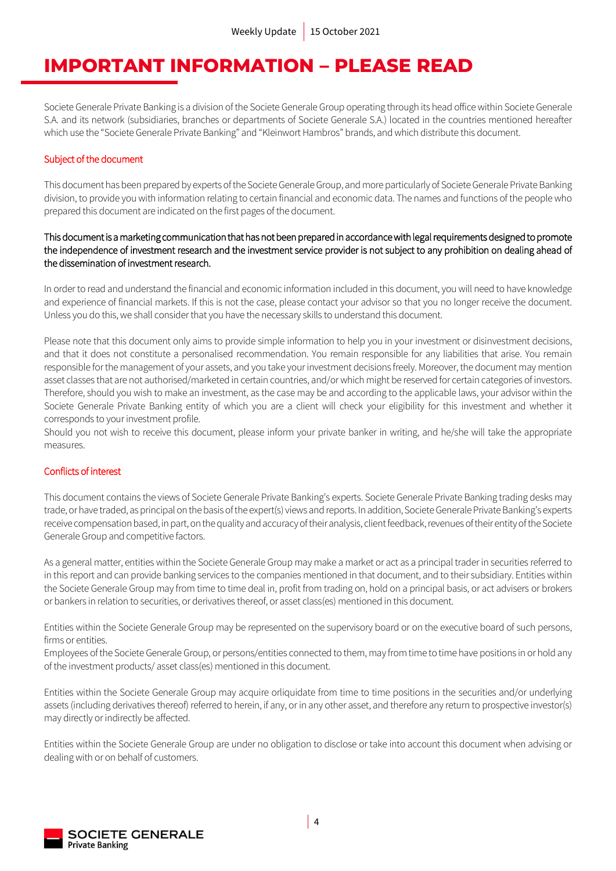### **IMPORTANT INFORMATION – PLEASE READ**

Societe Generale Private Banking is a division of the Societe Generale Group operating through its head office within Societe Generale S.A. and its network (subsidiaries, branches or departments of Societe Generale S.A.) located in the countries mentioned hereafter which use the "Societe Generale Private Banking" and "Kleinwort Hambros" brands, and which distribute this document.

#### Subject of the document

This document has been prepared by experts of the Societe Generale Group, and more particularly of Societe Generale Private Banking division, to provide you with information relating to certain financial and economic data. The names and functions of the people who prepared this document are indicated on the first pages of the document.

### This document is a marketing communication that has not been prepared in accordance with legal requirements designed to promote the independence of investment research and the investment service provider is not subject to any prohibition on dealing ahead of the dissemination of investment research.

In order to read and understand the financial and economic information included in this document, you will need to have knowledge and experience of financial markets. If this is not the case, please contact your advisor so that you no longer receive the document. Unless you do this, we shall consider that you have the necessary skills to understand this document.

Please note that this document only aims to provide simple information to help you in your investment or disinvestment decisions, and that it does not constitute a personalised recommendation. You remain responsible for any liabilities that arise. You remain responsible for the management of your assets, and you take your investment decisions freely. Moreover, the document may mention asset classes that are not authorised/marketed in certain countries, and/or which might be reserved for certain categories of investors. Therefore, should you wish to make an investment, as the case may be and according to the applicable laws, your advisor within the Societe Generale Private Banking entity of which you are a client will check your eligibility for this investment and whether it corresponds to your investment profile.

Should you not wish to receive this document, please inform your private banker in writing, and he/she will take the appropriate measures.

### Conflicts of interest

This document contains the views of Societe Generale Private Banking's experts. Societe Generale Private Banking trading desks may trade, or have traded, as principal on the basis of the expert(s) views and reports. In addition, Societe Generale Private Banking's experts receive compensation based, in part, on the quality and accuracy of their analysis, client feedback, revenues of their entityof the Societe Generale Group and competitive factors.

As a general matter, entities within the Societe Generale Group may make a market or act as a principal trader in securities referred to in this report and can provide banking services to the companies mentioned in that document, and to their subsidiary. Entities within the Societe Generale Group may from time to time deal in, profit from trading on, hold on a principal basis, or act advisers or brokers or bankers in relation to securities, or derivatives thereof, or asset class(es) mentioned in this document.

Entities within the Societe Generale Group may be represented on the supervisory board or on the executive board of such persons, firms or entities.

Employees of the Societe Generale Group, or persons/entities connected to them, may from time to time have positions in or hold any of the investment products/ asset class(es) mentioned in this document.

Entities within the Societe Generale Group may acquire orliquidate from time to time positions in the securities and/or underlying assets (including derivatives thereof) referred to herein, if any, or in any other asset, and therefore any return to prospective investor(s) may directly or indirectly be affected.

Entities within the Societe Generale Group are under no obligation to disclose or take into account this document when advising or dealing with or on behalf of customers.

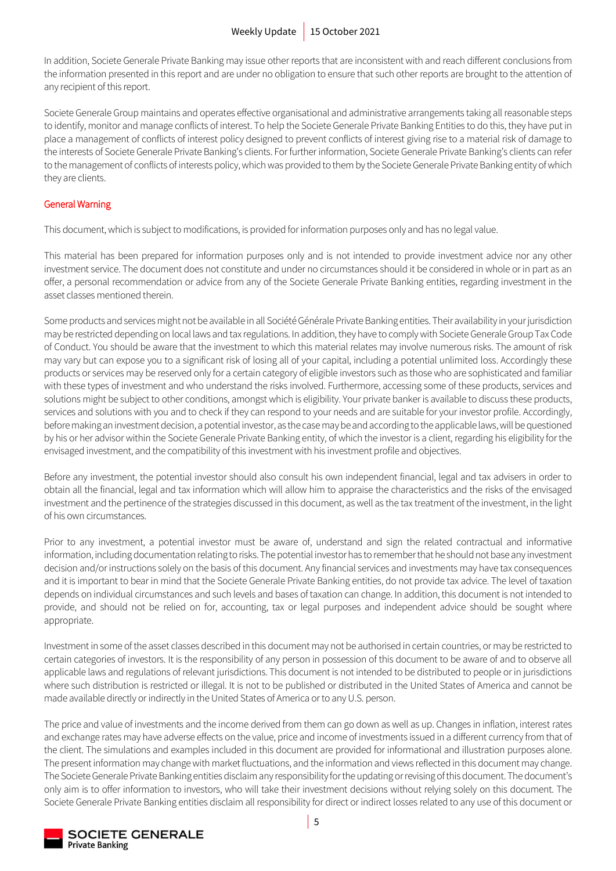In addition, Societe Generale Private Banking may issue other reports that are inconsistent with and reach different conclusions from the information presented in this report and are under no obligation to ensure that such other reports are brought to the attention of any recipient of this report.

Societe Generale Group maintains and operates effective organisational and administrative arrangements taking all reasonable steps to identify, monitor and manage conflicts of interest. To help the Societe Generale Private Banking Entities to do this, they have put in place a management of conflicts of interest policy designed to prevent conflicts of interest giving rise to a material risk of damage to the interests of Societe Generale Private Banking's clients. For further information, Societe Generale Private Banking's clients can refer to the management of conflicts of interests policy, which was provided to them by the Societe Generale Private Banking entity of which they are clients.

### General Warning

This document, which is subject to modifications, is provided for information purposes only and has no legal value.

This material has been prepared for information purposes only and is not intended to provide investment advice nor any other investment service. The document does not constitute and under no circumstances should it be considered in whole or in part as an offer, a personal recommendation or advice from any of the Societe Generale Private Banking entities, regarding investment in the asset classes mentioned therein.

Some products and services might not be available in all Société Générale Private Banking entities. Their availability in your jurisdiction may be restricted depending on local laws and tax regulations. In addition, they have to comply with Societe Generale Group Tax Code of Conduct. You should be aware that the investment to which this material relates may involve numerous risks. The amount of risk may vary but can expose you to a significant risk of losing all of your capital, including a potential unlimited loss. Accordingly these products or services may be reserved only for a certain category of eligible investors such as those who are sophisticated and familiar with these types of investment and who understand the risks involved. Furthermore, accessing some of these products, services and solutions might be subject to other conditions, amongst which is eligibility. Your private banker is available to discuss these products, services and solutions with you and to check if they can respond to your needs and are suitable for your investor profile. Accordingly, before making an investment decision, a potential investor, as the case may be and according to the applicable laws, will be questioned by his or her advisor within the Societe Generale Private Banking entity, of which the investor is a client, regarding his eligibility for the envisaged investment, and the compatibility of this investment with his investment profile and objectives.

Before any investment, the potential investor should also consult his own independent financial, legal and tax advisers in order to obtain all the financial, legal and tax information which will allow him to appraise the characteristics and the risks of the envisaged investment and the pertinence of the strategies discussed in this document, as well as the tax treatment of the investment, in the light of his own circumstances.

Prior to any investment, a potential investor must be aware of, understand and sign the related contractual and informative information, including documentation relating to risks. The potential investor has to remember that he should not base any investment decision and/or instructions solely on the basis of this document. Any financial services and investments may have tax consequences and it is important to bear in mind that the Societe Generale Private Banking entities, do not provide tax advice. The level of taxation depends on individual circumstances and such levels and bases of taxation can change. In addition, this document is not intended to provide, and should not be relied on for, accounting, tax or legal purposes and independent advice should be sought where appropriate.

Investment in some of the asset classes described in this document may not be authorised in certain countries, or may be restricted to certain categories of investors. It is the responsibility of any person in possession of this document to be aware of and to observe all applicable laws and regulations of relevant jurisdictions. This document is not intended to be distributed to people or in jurisdictions where such distribution is restricted or illegal. It is not to be published or distributed in the United States of America and cannot be made available directly or indirectly in the United States of America or to any U.S. person.

The price and value of investments and the income derived from them can go down as well as up. Changes in inflation, interest rates and exchange rates may have adverse effects on the value, price and income of investments issued in a different currency from that of the client. The simulations and examples included in this document are provided for informational and illustration purposes alone. The present information may change with market fluctuations, and the information and views reflected in this document may change. The Societe Generale Private Banking entities disclaim any responsibility for the updating or revising of this document. The document's only aim is to offer information to investors, who will take their investment decisions without relying solely on this document. The Societe Generale Private Banking entities disclaim all responsibility for direct or indirect losses related to any use of this document or

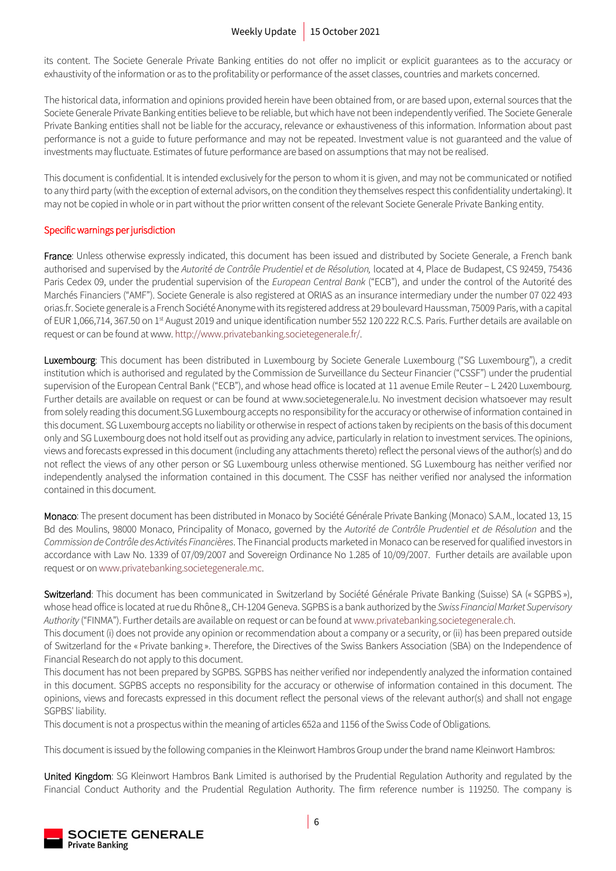its content. The Societe Generale Private Banking entities do not offer no implicit or explicit guarantees as to the accuracy or exhaustivity of the information or as to the profitability or performance of the asset classes, countries and markets concerned.

The historical data, information and opinions provided herein have been obtained from, or are based upon, external sources that the Societe Generale Private Banking entities believe to be reliable, but which have not been independently verified. The Societe Generale Private Banking entities shall not be liable for the accuracy, relevance or exhaustiveness of this information. Information about past performance is not a guide to future performance and may not be repeated. Investment value is not guaranteed and the value of investments may fluctuate. Estimates of future performance are based on assumptions that may not be realised.

This document is confidential. It is intended exclusively for the person to whom it is given, and may not be communicated or notified to any third party (with the exception of external advisors, on the condition they themselves respect this confidentiality undertaking). It may not be copied in whole or in part without the prior written consent of the relevant Societe Generale Private Banking entity.

### Specific warnings per jurisdiction

France: Unless otherwise expressly indicated, this document has been issued and distributed by Societe Generale, a French bank authorised and supervised by the *Autorité de Contrôle Prudentiel et de Résolution,* located at 4, Place de Budapest, CS 92459, 75436 Paris Cedex 09, under the prudential supervision of the *European Central Bank* ("ECB"), and under the control of the Autorité des Marchés Financiers ("AMF"). Societe Generale is also registered at ORIAS as an insurance intermediary under the number 07 022 493 orias.fr. Societe generale is a French Société Anonyme with its registered address at 29 boulevard Haussman, 75009 Paris, with a capital of EUR 1,066,714, 367.50 on 1<sup>st</sup> August 2019 and unique identification number 552 120 222 R.C.S. Paris. Further details are available on request or can be found at www[. http://www.privatebanking.societegenerale.fr/.](http://www.privatebanking.societegenerale.fr/)

Luxembourg: This document has been distributed in Luxembourg by Societe Generale Luxembourg ("SG Luxembourg"), a credit institution which is authorised and regulated by the Commission de Surveillance du Secteur Financier ("CSSF") under the prudential supervision of the European Central Bank ("ECB"), and whose head office is located at 11 avenue Emile Reuter – L 2420 Luxembourg. Further details are available on request or can be found at www.societegenerale.lu. No investment decision whatsoever may result from solely reading this document.SG Luxembourg accepts no responsibility for the accuracy or otherwise of information contained in this document. SG Luxembourg accepts no liability or otherwise in respect of actions taken by recipients on the basis of this document only and SG Luxembourg does not hold itself out as providing any advice, particularly in relation to investment services. The opinions, views and forecasts expressed in this document (including any attachments thereto) reflect the personal views of the author(s) and do not reflect the views of any other person or SG Luxembourg unless otherwise mentioned. SG Luxembourg has neither verified nor independently analysed the information contained in this document. The CSSF has neither verified nor analysed the information contained in this document.

Monaco: The present document has been distributed in Monaco by Société Générale Private Banking (Monaco) S.A.M., located 13, 15 Bd des Moulins, 98000 Monaco, Principality of Monaco, governed by the *Autorité de Contrôle Prudentiel et de Résolution* and the *Commission de Contrôle des Activités Financières*. The Financial products marketed in Monaco can be reserved for qualified investors in accordance with Law No. 1339 of 07/09/2007 and Sovereign Ordinance No 1.285 of 10/09/2007. Further details are available upon request or o[n www.privatebanking.societegenerale.mc.](http://www.privatebanking.societegenerale.mc/)

Switzerland: This document has been communicated in Switzerland by Société Générale Private Banking (Suisse) SA (« SGPBS »), whose head office is located at rue du Rhône 8,, CH-1204 Geneva. SGPBS is a bank authorized by the *Swiss Financial Market Supervisory Authority* ("FINMA"). Further details are available on request or can be found at [www.privatebanking.societegenerale.ch.](http://www.privatebanking.societegenerale.ch/)

This document (i) does not provide any opinion or recommendation about a company or a security, or (ii) has been prepared outside of Switzerland for the « Private banking ». Therefore, the Directives of the Swiss Bankers Association (SBA) on the Independence of Financial Research do not apply to this document.

This document has not been prepared by SGPBS. SGPBS has neither verified nor independently analyzed the information contained in this document. SGPBS accepts no responsibility for the accuracy or otherwise of information contained in this document. The opinions, views and forecasts expressed in this document reflect the personal views of the relevant author(s) and shall not engage SGPBS' liability.

This document is not a prospectus within the meaning of articles 652a and 1156 of the Swiss Code of Obligations.

This document is issued by the following companies in the Kleinwort Hambros Group under the brand name Kleinwort Hambros:

United Kingdom: SG Kleinwort Hambros Bank Limited is authorised by the Prudential Regulation Authority and regulated by the Financial Conduct Authority and the Prudential Regulation Authority. The firm reference number is 119250. The company is